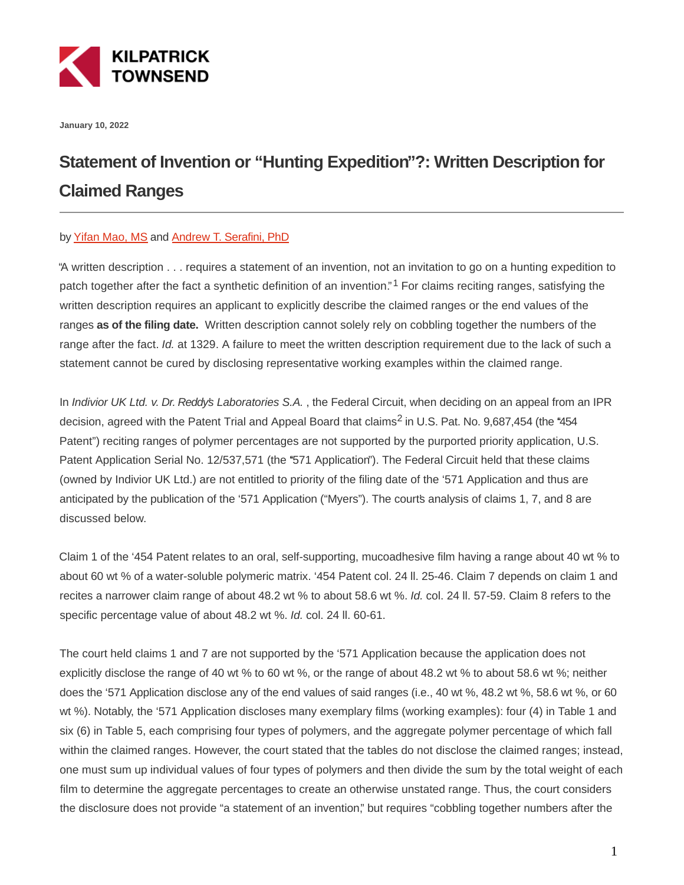

**January 10, 2022**

## **Statement of Invention or "Hunting Expedition"?: Written Description for Claimed Ranges**

## by [Yifan Mao, MS](https://kilpatricktownsend.com/en/People/M/MaoYifan) and [Andrew T. Serafini, PhD](https://kilpatricktownsend.com/en/People/S/SerafiniAndrewT)

"A written description . . . requires a statement of an invention, not an invitation to go on a hunting expedition to patch together after the fact a synthetic definition of an invention.<sup>"1</sup> For claims reciting ranges, satisfying the written description requires an applicant to explicitly describe the claimed ranges or the end values of the ranges **as of the filing date.** Written description cannot solely rely on cobbling together the numbers of the range after the fact. Id. at 1329. A failure to meet the written description requirement due to the lack of such a statement cannot be cured by disclosing representative working examples within the claimed range.

In *Indivior UK Ltd. v. Dr. Reddy's Laboratories S.A.*, the Federal Circuit, when deciding on an appeal from an IPR decision, agreed with the Patent Trial and Appeal Board that claims<sup>2</sup> in U.S. Pat. No. 9,687,454 (the "454 Patent") reciting ranges of polymer percentages are not supported by the purported priority application, U.S. Patent Application Serial No. 12/537,571 (the "571 Application"). The Federal Circuit held that these claims (owned by Indivior UK Ltd.) are not entitled to priority of the filing date of the '571 Application and thus are anticipated by the publication of the '571 Application ("Myers"). The courts analysis of claims 1, 7, and 8 are discussed below.

Claim 1 of the '454 Patent relates to an oral, self-supporting, mucoadhesive film having a range about 40 wt % to about 60 wt % of a water-soluble polymeric matrix. '454 Patent col. 24 ll. 25-46. Claim 7 depends on claim 1 and recites a narrower claim range of about 48.2 wt % to about 58.6 wt %. Id. col. 24 ll. 57-59. Claim 8 refers to the specific percentage value of about 48.2 wt %. Id. col. 24 ll. 60-61.

The court held claims 1 and 7 are not supported by the '571 Application because the application does not explicitly disclose the range of 40 wt % to 60 wt %, or the range of about 48.2 wt % to about 58.6 wt %; neither does the '571 Application disclose any of the end values of said ranges (i.e., 40 wt %, 48.2 wt %, 58.6 wt %, or 60 wt %). Notably, the '571 Application discloses many exemplary films (working examples): four (4) in Table 1 and six (6) in Table 5, each comprising four types of polymers, and the aggregate polymer percentage of which fall within the claimed ranges. However, the court stated that the tables do not disclose the claimed ranges; instead, one must sum up individual values of four types of polymers and then divide the sum by the total weight of each film to determine the aggregate percentages to create an otherwise unstated range. Thus, the court considers the disclosure does not provide "a statement of an invention," but requires "cobbling together numbers after the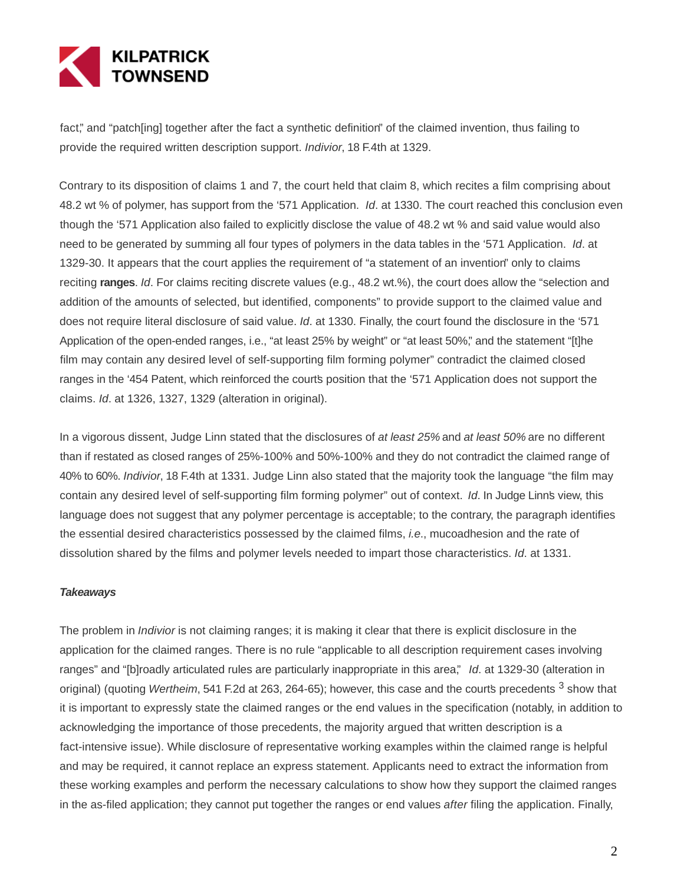

fact," and "patch[ing] together after the fact a synthetic definition" of the claimed invention, thus failing to provide the required written description support. Indivior, 18 F.4th at 1329.

Contrary to its disposition of claims 1 and 7, the court held that claim 8, which recites a film comprising about 48.2 wt % of polymer, has support from the '571 Application. *Id.* at 1330. The court reached this conclusion even though the '571 Application also failed to explicitly disclose the value of 48.2 wt % and said value would also need to be generated by summing all four types of polymers in the data tables in the '571 Application. Id. at 1329-30. It appears that the court applies the requirement of "a statement of an invention" only to claims reciting **ranges**. Id. For claims reciting discrete values (e.g., 48.2 wt.%), the court does allow the "selection and addition of the amounts of selected, but identified, components" to provide support to the claimed value and does not require literal disclosure of said value. Id. at 1330. Finally, the court found the disclosure in the '571 Application of the open-ended ranges, i.e., "at least 25% by weight" or "at least 50%," and the statement "[t]he film may contain any desired level of self-supporting film forming polymer" contradict the claimed closed ranges in the '454 Patent, which reinforced the courts position that the '571 Application does not support the claims. Id. at 1326, 1327, 1329 (alteration in original).

In a vigorous dissent, Judge Linn stated that the disclosures of at least 25% and at least 50% are no different than if restated as closed ranges of 25%-100% and 50%-100% and they do not contradict the claimed range of 40% to 60%. Indivior, 18 F.4th at 1331. Judge Linn also stated that the majority took the language "the film may contain any desired level of self-supporting film forming polymer" out of context. Id. In Judge Linn's view, this language does not suggest that any polymer percentage is acceptable; to the contrary, the paragraph identifies the essential desired characteristics possessed by the claimed films, *i.e.*, mucoadhesion and the rate of dissolution shared by the films and polymer levels needed to impart those characteristics. Id. at 1331.

## **Takeaways**

The problem in *Indivior* is not claiming ranges; it is making it clear that there is explicit disclosure in the application for the claimed ranges. There is no rule "applicable to all description requirement cases involving ranges" and "[b]roadly articulated rules are particularly inappropriate in this area," Id. at 1329-30 (alteration in original) (quoting Wertheim, 541 F.2d at 263, 264-65); however, this case and the courts precedents  $3$  show that it is important to expressly state the claimed ranges or the end values in the specification (notably, in addition to acknowledging the importance of those precedents, the majority argued that written description is a fact-intensive issue). While disclosure of representative working examples within the claimed range is helpful and may be required, it cannot replace an express statement. Applicants need to extract the information from these working examples and perform the necessary calculations to show how they support the claimed ranges in the as-filed application; they cannot put together the ranges or end values after filing the application. Finally,